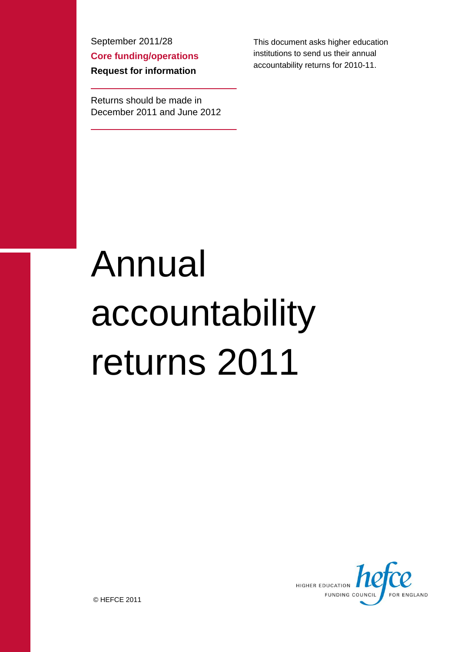September 2011/28 **Core funding/operations Request for information**

Returns should be made in December 2011 and June 2012 This document asks higher education institutions to send us their annual accountability returns for 2010-11.

# Annual accountability returns 2011



© HEFCE 2011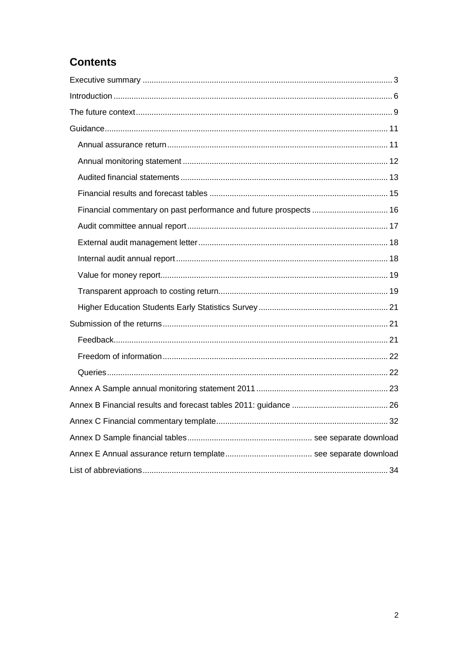# **Contents**

| Financial commentary on past performance and future prospects  16 |  |
|-------------------------------------------------------------------|--|
|                                                                   |  |
|                                                                   |  |
|                                                                   |  |
|                                                                   |  |
|                                                                   |  |
|                                                                   |  |
|                                                                   |  |
|                                                                   |  |
|                                                                   |  |
|                                                                   |  |
|                                                                   |  |
|                                                                   |  |
|                                                                   |  |
|                                                                   |  |
|                                                                   |  |
|                                                                   |  |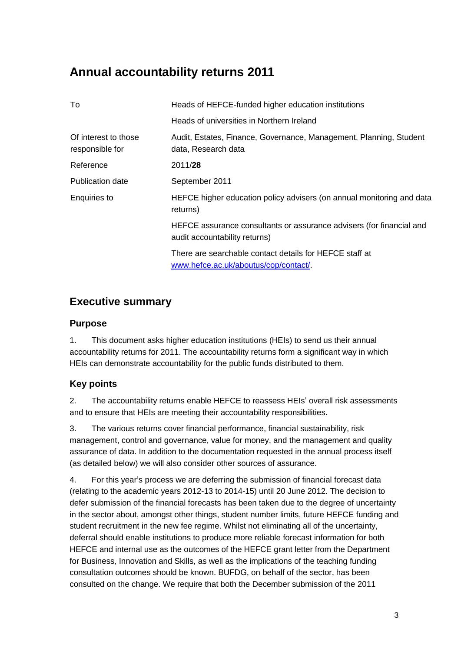# **Annual accountability returns 2011**

| To                                      | Heads of HEFCE-funded higher education institutions                                                   |
|-----------------------------------------|-------------------------------------------------------------------------------------------------------|
|                                         | Heads of universities in Northern Ireland                                                             |
| Of interest to those<br>responsible for | Audit, Estates, Finance, Governance, Management, Planning, Student<br>data, Research data             |
| Reference                               | 2011/28                                                                                               |
| Publication date                        | September 2011                                                                                        |
| Enquiries to                            | HEFCE higher education policy advisers (on annual monitoring and data<br>returns)                     |
|                                         | HEFCE assurance consultants or assurance advisers (for financial and<br>audit accountability returns) |
|                                         | There are searchable contact details for HEFCE staff at<br>www.hefce.ac.uk/aboutus/cop/contact/       |

## **Executive summary**

## **Purpose**

1. This document asks higher education institutions (HEIs) to send us their annual accountability returns for 2011. The accountability returns form a significant way in which HEIs can demonstrate accountability for the public funds distributed to them.

## **Key points**

2. The accountability returns enable HEFCE to reassess HEIs' overall risk assessments and to ensure that HEIs are meeting their accountability responsibilities.

3. The various returns cover financial performance, financial sustainability, risk management, control and governance, value for money, and the management and quality assurance of data. In addition to the documentation requested in the annual process itself (as detailed below) we will also consider other sources of assurance.

4. For this year's process we are deferring the submission of financial forecast data (relating to the academic years 2012-13 to 2014-15) until 20 June 2012. The decision to defer submission of the financial forecasts has been taken due to the degree of uncertainty in the sector about, amongst other things, student number limits, future HEFCE funding and student recruitment in the new fee regime. Whilst not eliminating all of the uncertainty, deferral should enable institutions to produce more reliable forecast information for both HEFCE and internal use as the outcomes of the HEFCE grant letter from the Department for Business, Innovation and Skills, as well as the implications of the teaching funding consultation outcomes should be known. BUFDG, on behalf of the sector, has been consulted on the change. We require that both the December submission of the 2011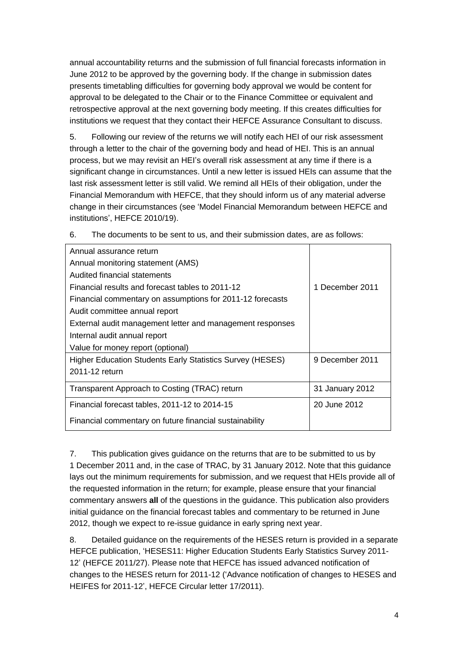annual accountability returns and the submission of full financial forecasts information in June 2012 to be approved by the governing body. If the change in submission dates presents timetabling difficulties for governing body approval we would be content for approval to be delegated to the Chair or to the Finance Committee or equivalent and retrospective approval at the next governing body meeting. If this creates difficulties for institutions we request that they contact their HEFCE Assurance Consultant to discuss.

5. Following our review of the returns we will notify each HEI of our risk assessment through a letter to the chair of the governing body and head of HEI. This is an annual process, but we may revisit an HEI's overall risk assessment at any time if there is a significant change in circumstances. Until a new letter is issued HEIs can assume that the last risk assessment letter is still valid. We remind all HEIs of their obligation, under the Financial Memorandum with HEFCE, that they should inform us of any material adverse change in their circumstances (see 'Model Financial Memorandum between HEFCE and institutions', HEFCE 2010/19).

| Annual assurance return                                   |                 |
|-----------------------------------------------------------|-----------------|
| Annual monitoring statement (AMS)                         |                 |
| Audited financial statements                              |                 |
| Financial results and forecast tables to 2011-12          | 1 December 2011 |
| Financial commentary on assumptions for 2011-12 forecasts |                 |
| Audit committee annual report                             |                 |
| External audit management letter and management responses |                 |
| Internal audit annual report                              |                 |
| Value for money report (optional)                         |                 |
| Higher Education Students Early Statistics Survey (HESES) | 9 December 2011 |
| 2011-12 return                                            |                 |
| Transparent Approach to Costing (TRAC) return             | 31 January 2012 |
| Financial forecast tables, 2011-12 to 2014-15             | 20 June 2012    |
| Financial commentary on future financial sustainability   |                 |

6. The documents to be sent to us, and their submission dates, are as follows:

7. This publication gives guidance on the returns that are to be submitted to us by 1 December 2011 and, in the case of TRAC, by 31 January 2012. Note that this guidance lays out the minimum requirements for submission, and we request that HEIs provide all of the requested information in the return; for example, please ensure that your financial commentary answers **all** of the questions in the guidance. This publication also providers initial guidance on the financial forecast tables and commentary to be returned in June 2012, though we expect to re-issue guidance in early spring next year.

8. Detailed guidance on the requirements of the HESES return is provided in a separate HEFCE publication, 'HESES11: Higher Education Students Early Statistics Survey 2011- 12' (HEFCE 2011/27). Please note that HEFCE has issued advanced notification of changes to the HESES return for 2011-12 ('Advance notification of changes to HESES and HEIFES for 2011-12', HEFCE Circular letter 17/2011).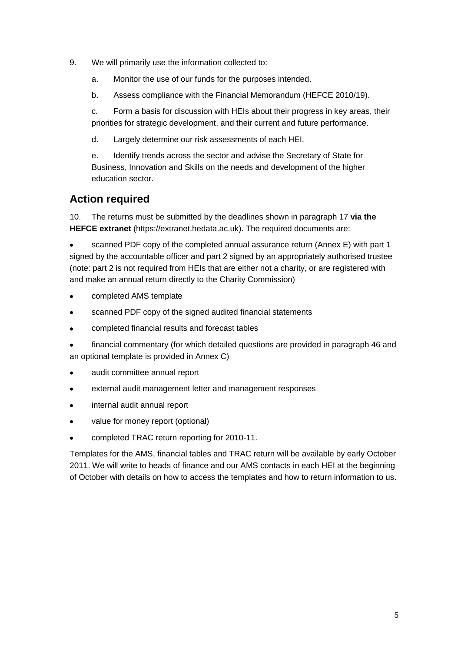- 9. We will primarily use the information collected to:
	- a. Monitor the use of our funds for the purposes intended.
	- b. Assess compliance with the Financial Memorandum (HEFCE 2010/19).

c. Form a basis for discussion with HEIs about their progress in key areas, their priorities for strategic development, and their current and future performance.

d. Largely determine our risk assessments of each HEI.

e. Identify trends across the sector and advise the Secretary of State for Business, Innovation and Skills on the needs and development of the higher education sector.

## **Action required**

10. The returns must be submitted by the deadlines shown in paragraph 17 **via the HEFCE extranet** (https://extranet.hedata.ac.uk). The required documents are:

scanned PDF copy of the completed annual assurance return (Annex E) with part 1 signed by the accountable officer and part 2 signed by an appropriately authorised trustee (note: part 2 is not required from HEIs that are either not a charity, or are registered with and make an annual return directly to the Charity Commission)

- completed AMS template
- scanned PDF copy of the signed audited financial statements  $\bullet$
- completed financial results and forecast tables  $\bullet$
- financial commentary (for which detailed questions are provided in paragraph 46 and an optional template is provided in Annex C)
- audit committee annual report  $\bullet$
- external audit management letter and management responses  $\bullet$
- internal audit annual report  $\bullet$
- $\bullet$ value for money report (optional)
- completed TRAC return reporting for 2010-11.  $\bullet$

Templates for the AMS, financial tables and TRAC return will be available by early October 2011. We will write to heads of finance and our AMS contacts in each HEI at the beginning of October with details on how to access the templates and how to return information to us.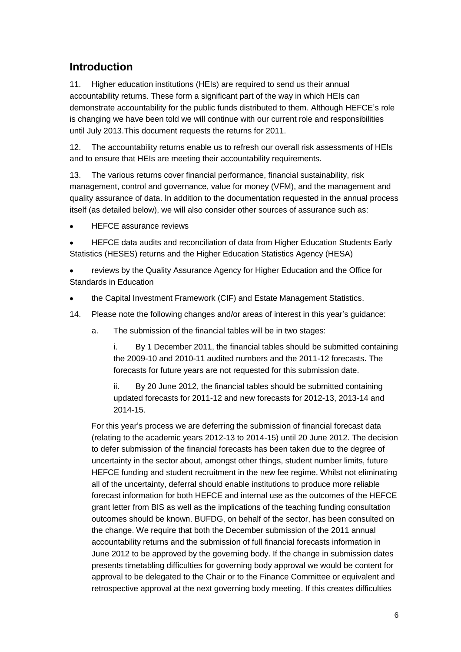# **Introduction**

11. Higher education institutions (HEIs) are required to send us their annual accountability returns. These form a significant part of the way in which HEIs can demonstrate accountability for the public funds distributed to them. Although HEFCE's role is changing we have been told we will continue with our current role and responsibilities until July 2013.This document requests the returns for 2011.

12. The accountability returns enable us to refresh our overall risk assessments of HEIs and to ensure that HEIs are meeting their accountability requirements.

13. The various returns cover financial performance, financial sustainability, risk management, control and governance, value for money (VFM), and the management and quality assurance of data. In addition to the documentation requested in the annual process itself (as detailed below), we will also consider other sources of assurance such as:

HEFCE assurance reviews

HEFCE data audits and reconciliation of data from Higher Education Students Early Statistics (HESES) returns and the Higher Education Statistics Agency (HESA)

reviews by the Quality Assurance Agency for Higher Education and the Office for Standards in Education

- the Capital Investment Framework (CIF) and Estate Management Statistics.
- 14. Please note the following changes and/or areas of interest in this year's guidance:
	- a. The submission of the financial tables will be in two stages:

i. By 1 December 2011, the financial tables should be submitted containing the 2009-10 and 2010-11 audited numbers and the 2011-12 forecasts. The forecasts for future years are not requested for this submission date.

ii. By 20 June 2012, the financial tables should be submitted containing updated forecasts for 2011-12 and new forecasts for 2012-13, 2013-14 and 2014-15.

For this year's process we are deferring the submission of financial forecast data (relating to the academic years 2012-13 to 2014-15) until 20 June 2012. The decision to defer submission of the financial forecasts has been taken due to the degree of uncertainty in the sector about, amongst other things, student number limits, future HEFCE funding and student recruitment in the new fee regime. Whilst not eliminating all of the uncertainty, deferral should enable institutions to produce more reliable forecast information for both HEFCE and internal use as the outcomes of the HEFCE grant letter from BIS as well as the implications of the teaching funding consultation outcomes should be known. BUFDG, on behalf of the sector, has been consulted on the change. We require that both the December submission of the 2011 annual accountability returns and the submission of full financial forecasts information in June 2012 to be approved by the governing body. If the change in submission dates presents timetabling difficulties for governing body approval we would be content for approval to be delegated to the Chair or to the Finance Committee or equivalent and retrospective approval at the next governing body meeting. If this creates difficulties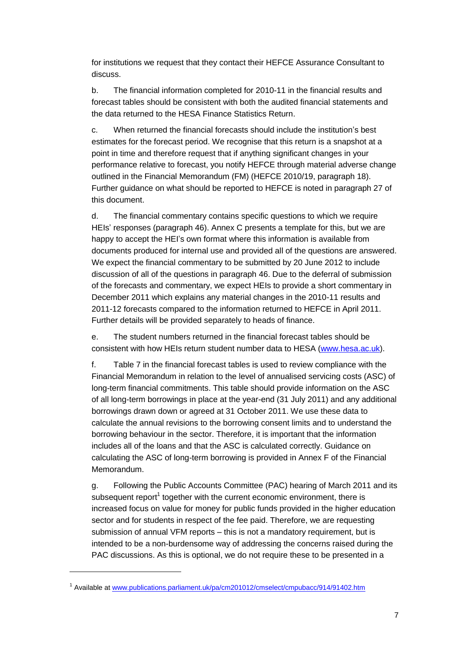for institutions we request that they contact their HEFCE Assurance Consultant to discuss.

b. The financial information completed for 2010-11 in the financial results and forecast tables should be consistent with both the audited financial statements and the data returned to the HESA Finance Statistics Return.

c. When returned the financial forecasts should include the institution's best estimates for the forecast period. We recognise that this return is a snapshot at a point in time and therefore request that if anything significant changes in your performance relative to forecast, you notify HEFCE through material adverse change outlined in the Financial Memorandum (FM) (HEFCE 2010/19, paragraph 18). Further guidance on what should be reported to HEFCE is noted in paragraph [27](#page-10-0) of this document.

d. The financial commentary contains specific questions to which we require HEIs' responses (paragraph [46\)](#page-15-0). Annex C presents a template for this, but we are happy to accept the HEI's own format where this information is available from documents produced for internal use and provided all of the questions are answered. We expect the financial commentary to be submitted by 20 June 2012 to include discussion of all of the questions in paragraph [46.](#page-15-0) Due to the deferral of submission of the forecasts and commentary, we expect HEIs to provide a short commentary in December 2011 which explains any material changes in the 2010-11 results and 2011-12 forecasts compared to the information returned to HEFCE in April 2011. Further details will be provided separately to heads of finance.

e. The student numbers returned in the financial forecast tables should be consistent with how HEIs return student number data to HESA [\(www.hesa.ac.uk\)](http://www.hesa.ac.uk/).

f. Table 7 in the financial forecast tables is used to review compliance with the Financial Memorandum in relation to the level of annualised servicing costs (ASC) of long-term financial commitments. This table should provide information on the ASC of all long-term borrowings in place at the year-end (31 July 2011) and any additional borrowings drawn down or agreed at 31 October 2011. We use these data to calculate the annual revisions to the borrowing consent limits and to understand the borrowing behaviour in the sector. Therefore, it is important that the information includes all of the loans and that the ASC is calculated correctly. Guidance on calculating the ASC of long-term borrowing is provided in Annex F of the Financial Memorandum.

g. Following the Public Accounts Committee (PAC) hearing of March 2011 and its subsequent report<sup>1</sup> together with the current economic environment, there is increased focus on value for money for public funds provided in the higher education sector and for students in respect of the fee paid. Therefore, we are requesting submission of annual VFM reports – this is not a mandatory requirement, but is intended to be a non-burdensome way of addressing the concerns raised during the PAC discussions. As this is optional, we do not require these to be presented in a

1

<sup>&</sup>lt;sup>1</sup> Available at [www.publications.parliament.uk/pa/cm201012/cmselect/cmpubacc/914/91402.htm](http://www.publications.parliament.uk/pa/cm201012/cmselect/cmpubacc/914/91402.htm)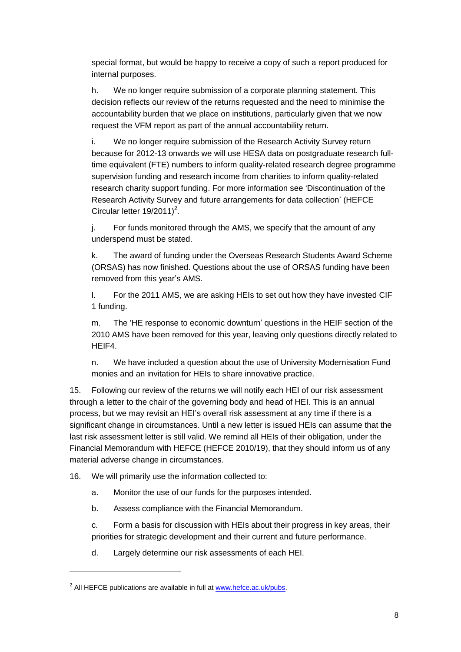special format, but would be happy to receive a copy of such a report produced for internal purposes.

h. We no longer require submission of a corporate planning statement. This decision reflects our review of the returns requested and the need to minimise the accountability burden that we place on institutions, particularly given that we now request the VFM report as part of the annual accountability return.

i. We no longer require submission of the Research Activity Survey return because for 2012-13 onwards we will use HESA data on postgraduate research fulltime equivalent (FTE) numbers to inform quality-related research degree programme supervision funding and research income from charities to inform quality-related research charity support funding. For more information see 'Discontinuation of the Research Activity Survey and future arrangements for data collection' (HEFCE Circular letter  $19/2011$ <sup>2</sup>.

j. For funds monitored through the AMS, we specify that the amount of any underspend must be stated.

k. The award of funding under the Overseas Research Students Award Scheme (ORSAS) has now finished. Questions about the use of ORSAS funding have been removed from this year's AMS.

l. For the 2011 AMS, we are asking HEIs to set out how they have invested CIF 1 funding.

m. The 'HE response to economic downturn' questions in the HEIF section of the 2010 AMS have been removed for this year, leaving only questions directly related to HEIF4.

n. We have included a question about the use of University Modernisation Fund monies and an invitation for HEIs to share innovative practice.

15. Following our review of the returns we will notify each HEI of our risk assessment through a letter to the chair of the governing body and head of HEI. This is an annual process, but we may revisit an HEI's overall risk assessment at any time if there is a significant change in circumstances. Until a new letter is issued HEIs can assume that the last risk assessment letter is still valid. We remind all HEIs of their obligation, under the Financial Memorandum with HEFCE (HEFCE 2010/19), that they should inform us of any material adverse change in circumstances.

16. We will primarily use the information collected to:

- a. Monitor the use of our funds for the purposes intended.
- b. Assess compliance with the Financial Memorandum.

c. Form a basis for discussion with HEIs about their progress in key areas, their priorities for strategic development and their current and future performance.

d. Largely determine our risk assessments of each HEI.

1

<sup>&</sup>lt;sup>2</sup> All HEFCE publications are available in full at [www.hefce.ac.uk/pubs.](http://www.hefce.ac.uk/pubs)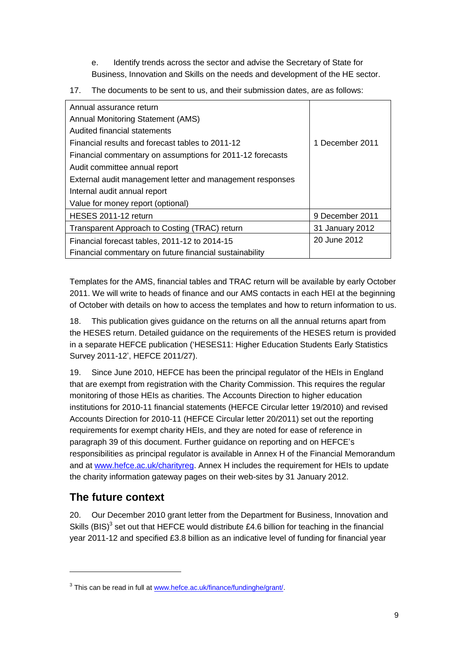e. Identify trends across the sector and advise the Secretary of State for Business, Innovation and Skills on the needs and development of the HE sector.

17. The documents to be sent to us, and their submission dates, are as follows:

| Annual assurance return                                   |                 |
|-----------------------------------------------------------|-----------------|
| <b>Annual Monitoring Statement (AMS)</b>                  |                 |
| Audited financial statements                              |                 |
| Financial results and forecast tables to 2011-12          | 1 December 2011 |
| Financial commentary on assumptions for 2011-12 forecasts |                 |
| Audit committee annual report                             |                 |
| External audit management letter and management responses |                 |
| Internal audit annual report                              |                 |
| Value for money report (optional)                         |                 |
| HESES 2011-12 return                                      | 9 December 2011 |
| Transparent Approach to Costing (TRAC) return             | 31 January 2012 |
| Financial forecast tables, 2011-12 to 2014-15             | 20 June 2012    |
| Financial commentary on future financial sustainability   |                 |

Templates for the AMS, financial tables and TRAC return will be available by early October 2011. We will write to heads of finance and our AMS contacts in each HEI at the beginning of October with details on how to access the templates and how to return information to us.

18. This publication gives guidance on the returns on all the annual returns apart from the HESES return. Detailed guidance on the requirements of the HESES return is provided in a separate HEFCE publication ('HESES11: Higher Education Students Early Statistics Survey 2011-12', HEFCE 2011/27).

19. Since June 2010, HEFCE has been the principal regulator of the HEIs in England that are exempt from registration with the Charity Commission. This requires the regular monitoring of those HEIs as charities. The Accounts Direction to higher education institutions for 2010-11 financial statements (HEFCE Circular letter 19/2010) and revised Accounts Direction for 2010-11 (HEFCE Circular letter 20/2011) set out the reporting requirements for exempt charity HEIs, and they are noted for ease of reference in paragraph [39](#page-14-0) of this document. Further guidance on reporting and on HEFCE's responsibilities as principal regulator is available in Annex H of the Financial Memorandum and at [www.hefce.ac.uk/charityreg.](http://www.hefce.ac.uk/charityreg) Annex H includes the requirement for HEIs to update the charity information gateway pages on their web-sites by 31 January 2012.

# **The future context**

1

<span id="page-8-0"></span>20. Our December 2010 grant letter from the Department for Business, Innovation and Skills (BIS)<sup>3</sup> set out that HEFCE would distribute £4.6 billion for teaching in the financial year 2011-12 and specified £3.8 billion as an indicative level of funding for financial year

<sup>&</sup>lt;sup>3</sup> This can be read in full at [www.hefce.ac.uk/finance/fundinghe/grant/.](http://www.hefce.ac.uk/finance/fundinghe/grant/)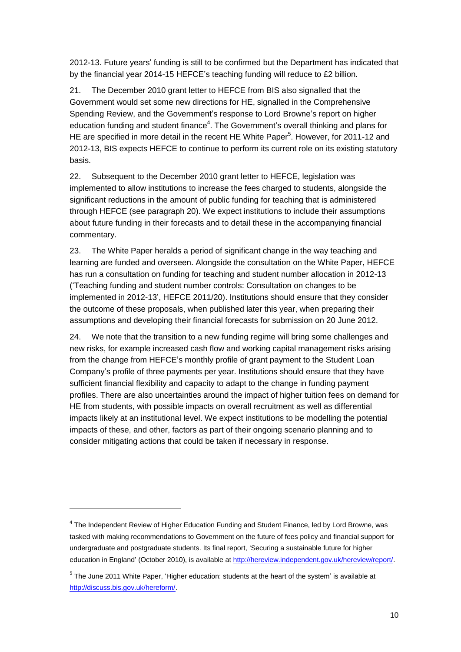2012-13. Future years' funding is still to be confirmed but the Department has indicated that by the financial year 2014-15 HEFCE's teaching funding will reduce to £2 billion.

21. The December 2010 grant letter to HEFCE from BIS also signalled that the Government would set some new directions for HE, signalled in the Comprehensive Spending Review, and the Government's response to Lord Browne's report on higher education funding and student finance<sup>4</sup>. The Government's overall thinking and plans for HE are specified in more detail in the recent HE White Paper<sup>5</sup>. However, for 2011-12 and 2012-13, BIS expects HEFCE to continue to perform its current role on its existing statutory basis.

22. Subsequent to the December 2010 grant letter to HEFCE, legislation was implemented to allow institutions to increase the fees charged to students, alongside the significant reductions in the amount of public funding for teaching that is administered through HEFCE (see paragraph 20). We expect institutions to include their assumptions about future funding in their forecasts and to detail these in the accompanying financial commentary.

23. The White Paper heralds a period of significant change in the way teaching and learning are funded and overseen. Alongside the consultation on the White Paper, HEFCE has run a consultation on funding for teaching and student number allocation in 2012-13 ('Teaching funding and student number controls: Consultation on changes to be implemented in 2012-13', HEFCE 2011/20). Institutions should ensure that they consider the outcome of these proposals, when published later this year, when preparing their assumptions and developing their financial forecasts for submission on 20 June 2012.

24. We note that the transition to a new funding regime will bring some challenges and new risks, for example increased cash flow and working capital management risks arising from the change from HEFCE's monthly profile of grant payment to the Student Loan Company's profile of three payments per year. Institutions should ensure that they have sufficient financial flexibility and capacity to adapt to the change in funding payment profiles. There are also uncertainties around the impact of higher tuition fees on demand for HE from students, with possible impacts on overall recruitment as well as differential impacts likely at an institutional level. We expect institutions to be modelling the potential impacts of these, and other, factors as part of their ongoing scenario planning and to consider mitigating actions that could be taken if necessary in response.

1

<sup>&</sup>lt;sup>4</sup> The Independent Review of Higher Education Funding and Student Finance, led by Lord Browne, was tasked with making recommendations to Government on the future of fees policy and financial support for undergraduate and postgraduate students. Its final report, 'Securing a sustainable future for higher education in England' (October 2010), is available at [http://hereview.independent.gov.uk/hereview/report/.](http://hereview.independent.gov.uk/hereview/report/)

<sup>&</sup>lt;sup>5</sup> The June 2011 White Paper, 'Higher education: students at the heart of the system' is available at [http://discuss.bis.gov.uk/hereform/.](http://discuss.bis.gov.uk/hereform/)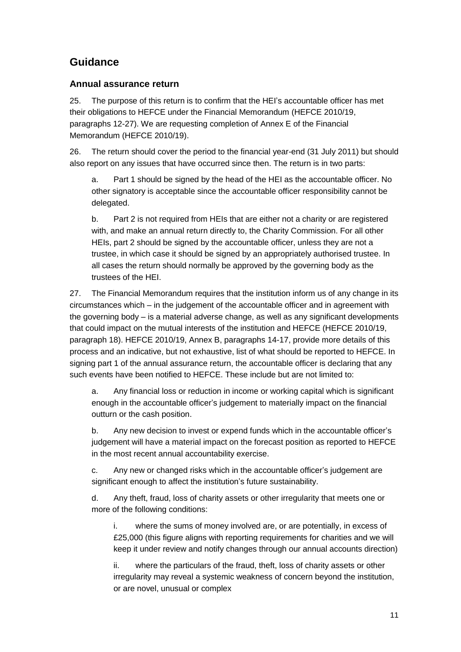# **Guidance**

## **Annual assurance return**

25. The purpose of this return is to confirm that the HEI's accountable officer has met their obligations to HEFCE under the Financial Memorandum (HEFCE 2010/19, paragraphs 12-27). We are requesting completion of Annex E of the Financial Memorandum (HEFCE 2010/19).

26. The return should cover the period to the financial year-end (31 July 2011) but should also report on any issues that have occurred since then. The return is in two parts:

a. Part 1 should be signed by the head of the HEI as the accountable officer. No other signatory is acceptable since the accountable officer responsibility cannot be delegated.

b. Part 2 is not required from HEIs that are either not a charity or are registered with, and make an annual return directly to, the Charity Commission. For all other HEIs, part 2 should be signed by the accountable officer, unless they are not a trustee, in which case it should be signed by an appropriately authorised trustee. In all cases the return should normally be approved by the governing body as the trustees of the HEI.

<span id="page-10-0"></span>27. The Financial Memorandum requires that the institution inform us of any change in its circumstances which – in the judgement of the accountable officer and in agreement with the governing body – is a material adverse change, as well as any significant developments that could impact on the mutual interests of the institution and HEFCE (HEFCE 2010/19, paragraph 18). HEFCE 2010/19, Annex B, paragraphs 14-17, provide more details of this process and an indicative, but not exhaustive, list of what should be reported to HEFCE. In signing part 1 of the annual assurance return, the accountable officer is declaring that any such events have been notified to HEFCE. These include but are not limited to:

a. Any financial loss or reduction in income or working capital which is significant enough in the accountable officer's judgement to materially impact on the financial outturn or the cash position.

b. Any new decision to invest or expend funds which in the accountable officer's judgement will have a material impact on the forecast position as reported to HEFCE in the most recent annual accountability exercise.

c. Any new or changed risks which in the accountable officer's judgement are significant enough to affect the institution's future sustainability.

d. Any theft, fraud, loss of charity assets or other irregularity that meets one or more of the following conditions:

i. where the sums of money involved are, or are potentially, in excess of £25,000 (this figure aligns with reporting requirements for charities and we will keep it under review and notify changes through our annual accounts direction)

ii. where the particulars of the fraud, theft, loss of charity assets or other irregularity may reveal a systemic weakness of concern beyond the institution, or are novel, unusual or complex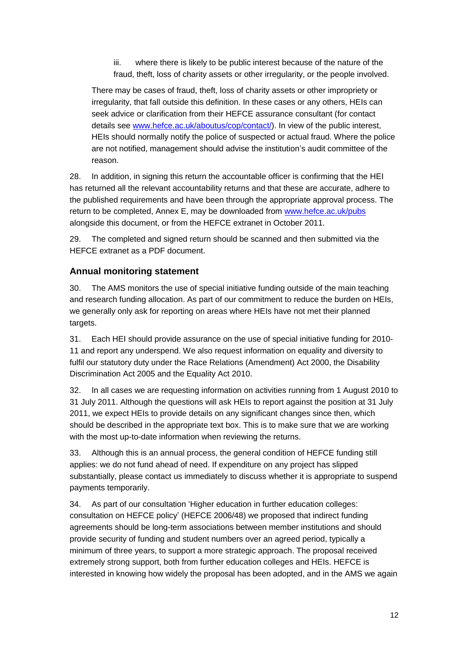iii. where there is likely to be public interest because of the nature of the fraud, theft, loss of charity assets or other irregularity, or the people involved.

There may be cases of fraud, theft, loss of charity assets or other impropriety or irregularity, that fall outside this definition. In these cases or any others, HEIs can seek advice or clarification from their HEFCE assurance consultant (for contact details see [www.hefce.ac.uk/aboutus/cop/contact/\)](http://www.hefce.ac.uk/aboutus/cop/contact/). In view of the public interest, HEIs should normally notify the police of suspected or actual fraud. Where the police are not notified, management should advise the institution's audit committee of the reason.

28. In addition, in signing this return the accountable officer is confirming that the HEI has returned all the relevant accountability returns and that these are accurate, adhere to the published requirements and have been through the appropriate approval process. The return to be completed, Annex E, may be downloaded from [www.hefce.ac.uk/pubs](http://www.hefce.ac.uk/pubs) alongside this document, or from the HEFCE extranet in October 2011.

29. The completed and signed return should be scanned and then submitted via the HEFCE extranet as a PDF document.

## **Annual monitoring statement**

30. The AMS monitors the use of special initiative funding outside of the main teaching and research funding allocation. As part of our commitment to reduce the burden on HEIs, we generally only ask for reporting on areas where HEIs have not met their planned targets.

31. Each HEI should provide assurance on the use of special initiative funding for 2010- 11 and report any underspend. We also request information on equality and diversity to fulfil our statutory duty under the Race Relations (Amendment) Act 2000, the Disability Discrimination Act 2005 and the Equality Act 2010.

32. In all cases we are requesting information on activities running from 1 August 2010 to 31 July 2011. Although the questions will ask HEIs to report against the position at 31 July 2011, we expect HEIs to provide details on any significant changes since then, which should be described in the appropriate text box. This is to make sure that we are working with the most up-to-date information when reviewing the returns.

33. Although this is an annual process, the general condition of HEFCE funding still applies: we do not fund ahead of need. If expenditure on any project has slipped substantially, please contact us immediately to discuss whether it is appropriate to suspend payments temporarily.

34. As part of our consultation 'Higher education in further education colleges: consultation on HEFCE policy' (HEFCE 2006/48) we proposed that indirect funding agreements should be long-term associations between member institutions and should provide security of funding and student numbers over an agreed period, typically a minimum of three years, to support a more strategic approach. The proposal received extremely strong support, both from further education colleges and HEIs. HEFCE is interested in knowing how widely the proposal has been adopted, and in the AMS we again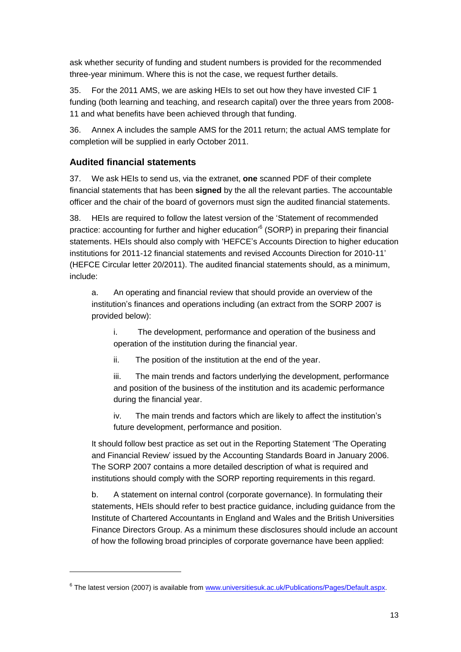ask whether security of funding and student numbers is provided for the recommended three-year minimum. Where this is not the case, we request further details.

35. For the 2011 AMS, we are asking HEIs to set out how they have invested CIF 1 funding (both learning and teaching, and research capital) over the three years from 2008- 11 and what benefits have been achieved through that funding.

36. Annex A includes the sample AMS for the 2011 return; the actual AMS template for completion will be supplied in early October 2011.

## **Audited financial statements**

1

37. We ask HEIs to send us, via the extranet, **one** scanned PDF of their complete financial statements that has been **signed** by the all the relevant parties. The accountable officer and the chair of the board of governors must sign the audited financial statements.

38. HEIs are required to follow the latest version of the 'Statement of recommended practice: accounting for further and higher education'<sup>6</sup> (SORP) in preparing their financial statements. HEIs should also comply with 'HEFCE's Accounts Direction to higher education institutions for 2011-12 financial statements and revised Accounts Direction for 2010-11' (HEFCE Circular letter 20/2011). The audited financial statements should, as a minimum, include:

a. An operating and financial review that should provide an overview of the institution's finances and operations including (an extract from the SORP 2007 is provided below):

i. The development, performance and operation of the business and operation of the institution during the financial year.

ii. The position of the institution at the end of the year.

iii. The main trends and factors underlying the development, performance and position of the business of the institution and its academic performance during the financial year.

iv. The main trends and factors which are likely to affect the institution's future development, performance and position.

It should follow best practice as set out in the Reporting Statement 'The Operating and Financial Review' issued by the Accounting Standards Board in January 2006. The SORP 2007 contains a more detailed description of what is required and institutions should comply with the SORP reporting requirements in this regard.

b. A statement on internal control (corporate governance). In formulating their statements, HEIs should refer to best practice guidance, including guidance from the Institute of Chartered Accountants in England and Wales and the British Universities Finance Directors Group. As a minimum these disclosures should include an account of how the following broad principles of corporate governance have been applied:

<sup>&</sup>lt;sup>6</sup> The latest version (2007) is available from [www.universitiesuk.ac.uk/Publications/Pages/Default.aspx.](http://www.universitiesuk.ac.uk/Publications/Pages/Default.aspx)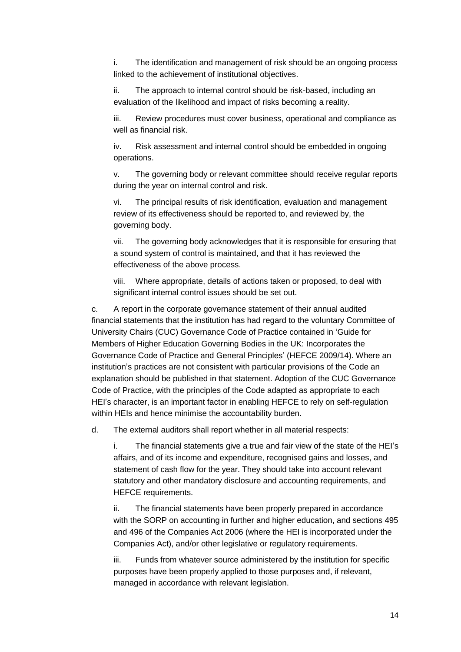i. The identification and management of risk should be an ongoing process linked to the achievement of institutional objectives.

ii. The approach to internal control should be risk-based, including an evaluation of the likelihood and impact of risks becoming a reality.

iii. Review procedures must cover business, operational and compliance as well as financial risk.

iv. Risk assessment and internal control should be embedded in ongoing operations.

v. The governing body or relevant committee should receive regular reports during the year on internal control and risk.

vi. The principal results of risk identification, evaluation and management review of its effectiveness should be reported to, and reviewed by, the governing body.

vii. The governing body acknowledges that it is responsible for ensuring that a sound system of control is maintained, and that it has reviewed the effectiveness of the above process.

viii. Where appropriate, details of actions taken or proposed, to deal with significant internal control issues should be set out.

c. A report in the corporate governance statement of their annual audited financial statements that the institution has had regard to the voluntary Committee of University Chairs (CUC) Governance Code of Practice contained in 'Guide for Members of Higher Education Governing Bodies in the UK: Incorporates the Governance Code of Practice and General Principles' (HEFCE 2009/14). Where an institution's practices are not consistent with particular provisions of the Code an explanation should be published in that statement. Adoption of the CUC Governance Code of Practice, with the principles of the Code adapted as appropriate to each HEI's character, is an important factor in enabling HEFCE to rely on self-regulation within HEIs and hence minimise the accountability burden.

d. The external auditors shall report whether in all material respects:

i. The financial statements give a true and fair view of the state of the HEI's affairs, and of its income and expenditure, recognised gains and losses, and statement of cash flow for the year. They should take into account relevant statutory and other mandatory disclosure and accounting requirements, and HEFCE requirements.

ii. The financial statements have been properly prepared in accordance with the SORP on accounting in further and higher education, and sections 495 and 496 of the Companies Act 2006 (where the HEI is incorporated under the Companies Act), and/or other legislative or regulatory requirements.

iii. Funds from whatever source administered by the institution for specific purposes have been properly applied to those purposes and, if relevant, managed in accordance with relevant legislation.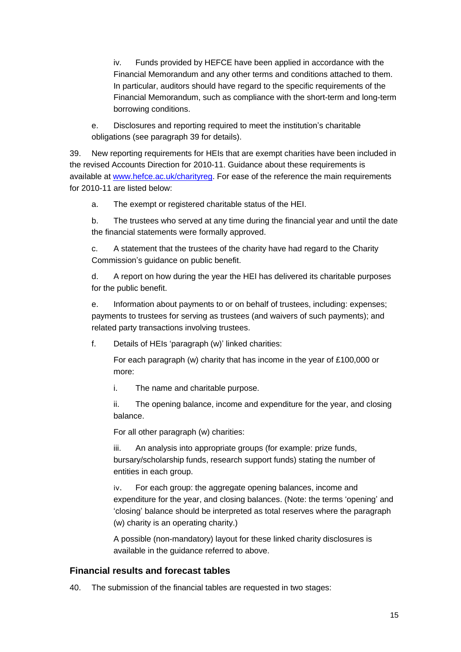iv. Funds provided by HEFCE have been applied in accordance with the Financial Memorandum and any other terms and conditions attached to them. In particular, auditors should have regard to the specific requirements of the Financial Memorandum, such as compliance with the short-term and long-term borrowing conditions.

e. Disclosures and reporting required to meet the institution's charitable obligations (see paragraph [39](#page-14-0) for details).

<span id="page-14-0"></span>39. New reporting requirements for HEIs that are exempt charities have been included in the revised Accounts Direction for 2010-11. Guidance about these requirements is available at [www.hefce.ac.uk/charityreg.](http://www.hefce.ac.uk/charityreg) For ease of the reference the main requirements for 2010-11 are listed below:

a. The exempt or registered charitable status of the HEI.

b. The trustees who served at any time during the financial year and until the date the financial statements were formally approved.

c. A statement that the trustees of the charity have had regard to the Charity Commission's guidance on public benefit.

d. A report on how during the year the HEI has delivered its charitable purposes for the public benefit.

e. Information about payments to or on behalf of trustees, including: expenses; payments to trustees for serving as trustees (and waivers of such payments); and related party transactions involving trustees.

f. Details of HEIs 'paragraph (w)' linked charities:

For each paragraph (w) charity that has income in the year of £100,000 or more:

i. The name and charitable purpose.

ii. The opening balance, income and expenditure for the year, and closing balance.

For all other paragraph (w) charities:

iii. An analysis into appropriate groups (for example: prize funds, bursary/scholarship funds, research support funds) stating the number of entities in each group.

iv. For each group: the aggregate opening balances, income and expenditure for the year, and closing balances. (Note: the terms 'opening' and 'closing' balance should be interpreted as total reserves where the paragraph (w) charity is an operating charity.)

A possible (non-mandatory) layout for these linked charity disclosures is available in the guidance referred to above.

## **Financial results and forecast tables**

40. The submission of the financial tables are requested in two stages: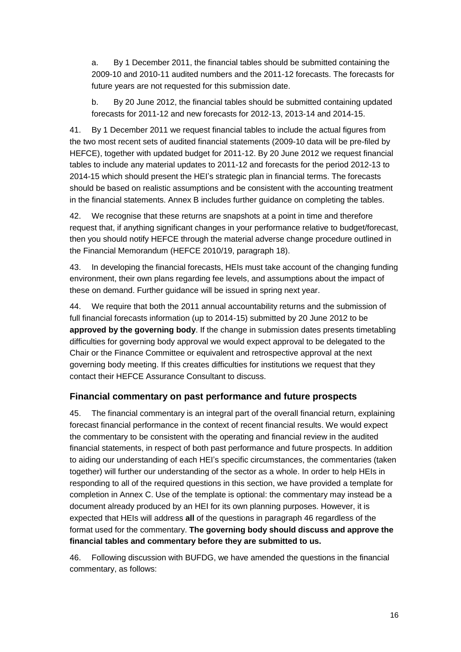a. By 1 December 2011, the financial tables should be submitted containing the 2009-10 and 2010-11 audited numbers and the 2011-12 forecasts. The forecasts for future years are not requested for this submission date.

b. By 20 June 2012, the financial tables should be submitted containing updated forecasts for 2011-12 and new forecasts for 2012-13, 2013-14 and 2014-15.

41. By 1 December 2011 we request financial tables to include the actual figures from the two most recent sets of audited financial statements (2009-10 data will be pre-filed by HEFCE), together with updated budget for 2011-12. By 20 June 2012 we request financial tables to include any material updates to 2011-12 and forecasts for the period 2012-13 to 2014-15 which should present the HEI's strategic plan in financial terms. The forecasts should be based on realistic assumptions and be consistent with the accounting treatment in the financial statements. Annex B includes further guidance on completing the tables.

42. We recognise that these returns are snapshots at a point in time and therefore request that, if anything significant changes in your performance relative to budget/forecast, then you should notify HEFCE through the material adverse change procedure outlined in the Financial Memorandum (HEFCE 2010/19, paragraph 18).

43. In developing the financial forecasts, HEIs must take account of the changing funding environment, their own plans regarding fee levels, and assumptions about the impact of these on demand. Further guidance will be issued in spring next year.

44. We require that both the 2011 annual accountability returns and the submission of full financial forecasts information (up to 2014-15) submitted by 20 June 2012 to be **approved by the governing body**. If the change in submission dates presents timetabling difficulties for governing body approval we would expect approval to be delegated to the Chair or the Finance Committee or equivalent and retrospective approval at the next governing body meeting. If this creates difficulties for institutions we request that they contact their HEFCE Assurance Consultant to discuss.

## **Financial commentary on past performance and future prospects**

45. The financial commentary is an integral part of the overall financial return, explaining forecast financial performance in the context of recent financial results. We would expect the commentary to be consistent with the operating and financial review in the audited financial statements, in respect of both past performance and future prospects. In addition to aiding our understanding of each HEI's specific circumstances, the commentaries (taken together) will further our understanding of the sector as a whole. In order to help HEIs in responding to all of the required questions in this section, we have provided a template for completion in Annex C. Use of the template is optional: the commentary may instead be a document already produced by an HEI for its own planning purposes. However, it is expected that HEIs will address **all** of the questions in paragraph [46](#page-15-0) regardless of the format used for the commentary. **The governing body should discuss and approve the financial tables and commentary before they are submitted to us.**

<span id="page-15-0"></span>46. Following discussion with BUFDG, we have amended the questions in the financial commentary, as follows: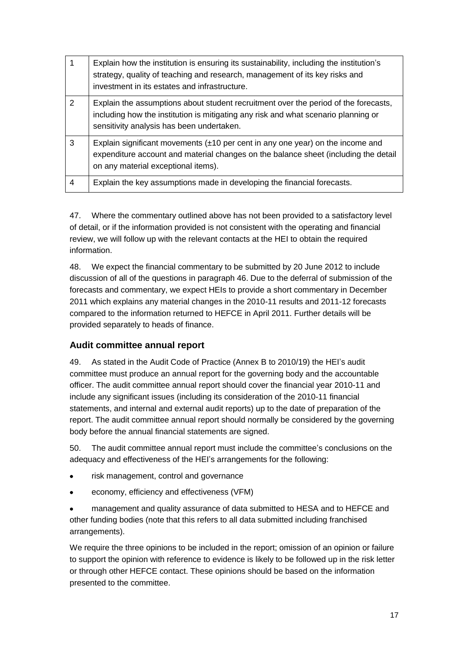|   | Explain how the institution is ensuring its sustainability, including the institution's<br>strategy, quality of teaching and research, management of its key risks and<br>investment in its estates and infrastructure. |
|---|-------------------------------------------------------------------------------------------------------------------------------------------------------------------------------------------------------------------------|
| 2 | Explain the assumptions about student recruitment over the period of the forecasts,<br>including how the institution is mitigating any risk and what scenario planning or<br>sensitivity analysis has been undertaken.  |
| 3 | Explain significant movements $(\pm 10$ per cent in any one year) on the income and<br>expenditure account and material changes on the balance sheet (including the detail<br>on any material exceptional items).       |
| 4 | Explain the key assumptions made in developing the financial forecasts.                                                                                                                                                 |

47. Where the commentary outlined above has not been provided to a satisfactory level of detail, or if the information provided is not consistent with the operating and financial review, we will follow up with the relevant contacts at the HEI to obtain the required information.

48. We expect the financial commentary to be submitted by 20 June 2012 to include discussion of all of the questions in paragraph [46.](#page-15-0) Due to the deferral of submission of the forecasts and commentary, we expect HEIs to provide a short commentary in December 2011 which explains any material changes in the 2010-11 results and 2011-12 forecasts compared to the information returned to HEFCE in April 2011. Further details will be provided separately to heads of finance.

## **Audit committee annual report**

49. As stated in the Audit Code of Practice (Annex B to 2010/19) the HEI's audit committee must produce an annual report for the governing body and the accountable officer. The audit committee annual report should cover the financial year 2010-11 and include any significant issues (including its consideration of the 2010-11 financial statements, and internal and external audit reports) up to the date of preparation of the report. The audit committee annual report should normally be considered by the governing body before the annual financial statements are signed.

50. The audit committee annual report must include the committee's conclusions on the adequacy and effectiveness of the HEI's arrangements for the following:

- risk management, control and governance
- economy, efficiency and effectiveness (VFM)  $\bullet$

management and quality assurance of data submitted to HESA and to HEFCE and other funding bodies (note that this refers to all data submitted including franchised arrangements).

We require the three opinions to be included in the report; omission of an opinion or failure to support the opinion with reference to evidence is likely to be followed up in the risk letter or through other HEFCE contact. These opinions should be based on the information presented to the committee.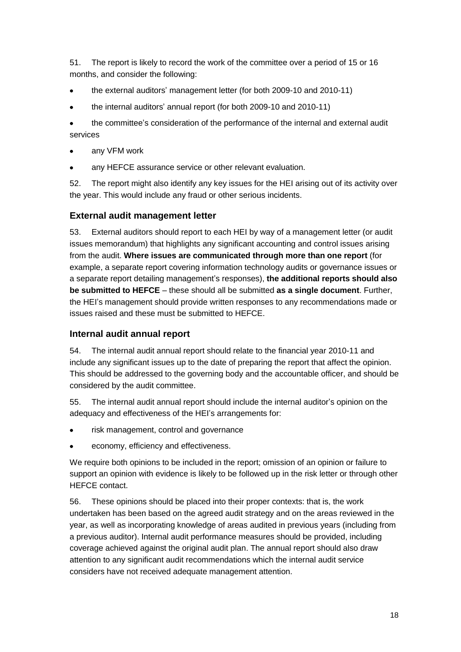51. The report is likely to record the work of the committee over a period of 15 or 16 months, and consider the following:

- the external auditors' management letter (for both 2009-10 and 2010-11)  $\bullet$
- the internal auditors' annual report (for both 2009-10 and 2010-11)

the committee's consideration of the performance of the internal and external audit  $\bullet$ services

- any VFM work
- $\bullet$ any HEFCE assurance service or other relevant evaluation.

52. The report might also identify any key issues for the HEI arising out of its activity over the year. This would include any fraud or other serious incidents.

## **External audit management letter**

53. External auditors should report to each HEI by way of a management letter (or audit issues memorandum) that highlights any significant accounting and control issues arising from the audit. **Where issues are communicated through more than one report** (for example, a separate report covering information technology audits or governance issues or a separate report detailing management's responses), **the additional reports should also be submitted to HEFCE** – these should all be submitted **as a single document**. Further, the HEI's management should provide written responses to any recommendations made or issues raised and these must be submitted to HEFCE.

#### **Internal audit annual report**

54. The internal audit annual report should relate to the financial year 2010-11 and include any significant issues up to the date of preparing the report that affect the opinion. This should be addressed to the governing body and the accountable officer, and should be considered by the audit committee.

55. The internal audit annual report should include the internal auditor's opinion on the adequacy and effectiveness of the HEI's arrangements for:

- risk management, control and governance
- economy, efficiency and effectiveness.

We require both opinions to be included in the report; omission of an opinion or failure to support an opinion with evidence is likely to be followed up in the risk letter or through other HEFCE contact.

56. These opinions should be placed into their proper contexts: that is, the work undertaken has been based on the agreed audit strategy and on the areas reviewed in the year, as well as incorporating knowledge of areas audited in previous years (including from a previous auditor). Internal audit performance measures should be provided, including coverage achieved against the original audit plan. The annual report should also draw attention to any significant audit recommendations which the internal audit service considers have not received adequate management attention.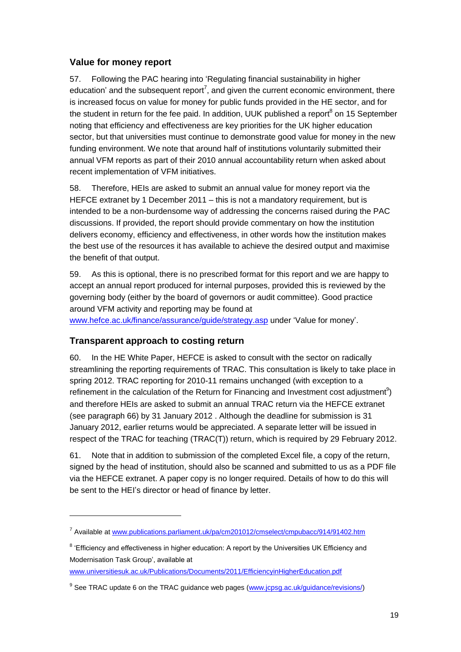## **Value for money report**

57. Following the PAC hearing into 'Regulating financial sustainability in higher education' and the subsequent report<sup>7</sup>, and given the current economic environment, there is increased focus on value for money for public funds provided in the HE sector, and for the student in return for the fee paid. In addition, UUK published a report<sup>8</sup> on 15 September noting that efficiency and effectiveness are key priorities for the UK higher education sector, but that universities must continue to demonstrate good value for money in the new funding environment. We note that around half of institutions voluntarily submitted their annual VFM reports as part of their 2010 annual accountability return when asked about recent implementation of VFM initiatives.

58. Therefore, HEIs are asked to submit an annual value for money report via the HEFCE extranet by 1 December 2011 – this is not a mandatory requirement, but is intended to be a non-burdensome way of addressing the concerns raised during the PAC discussions. If provided, the report should provide commentary on how the institution delivers economy, efficiency and effectiveness, in other words how the institution makes the best use of the resources it has available to achieve the desired output and maximise the benefit of that output.

59. As this is optional, there is no prescribed format for this report and we are happy to accept an annual report produced for internal purposes, provided this is reviewed by the governing body (either by the board of governors or audit committee). Good practice around VFM activity and reporting may be found at

[www.hefce.ac.uk/finance/assurance/guide/strategy.asp](http://www.hefce.ac.uk/finance/assurance/guide/strategy.asp) under 'Value for money'.

## **Transparent approach to costing return**

1

<span id="page-18-0"></span>60. In the HE White Paper, HEFCE is asked to consult with the sector on radically streamlining the reporting requirements of TRAC. This consultation is likely to take place in spring 2012. TRAC reporting for 2010-11 remains unchanged (with exception to a refinement in the calculation of the Return for Financing and Investment cost adjustment<sup>9</sup>) and therefore HEIs are asked to submit an annual TRAC return via the HEFCE extranet (see paragraph [66\)](#page-19-0) by 31 January 2012 . Although the deadline for submission is 31 January 2012, earlier returns would be appreciated. A separate letter will be issued in respect of the TRAC for teaching (TRAC(T)) return, which is required by 29 February 2012.

61. Note that in addition to submission of the completed Excel file, a copy of the return, signed by the head of institution, should also be scanned and submitted to us as a PDF file via the HEFCE extranet. A paper copy is no longer required. Details of how to do this will be sent to the HEI's director or head of finance by letter.

<sup>&</sup>lt;sup>7</sup> Available at [www.publications.parliament.uk/pa/cm201012/cmselect/cmpubacc/914/91402.htm](http://www.publications.parliament.uk/pa/cm201012/cmselect/cmpubacc/914/91402.htm)

<sup>&</sup>lt;sup>8</sup> 'Efficiency and effectiveness in higher education: A report by the Universities UK Efficiency and Modernisation Task Group', available at

[www.universitiesuk.ac.uk/Publications/Documents/2011/EfficiencyinHigherEducation.pdf](http://www.universitiesuk.ac.uk/Publications/Documents/2011/EfficiencyinHigherEducation.pdf)

<sup>&</sup>lt;sup>9</sup> See TRAC update 6 on the TRAC guidance web pages [\(www.jcpsg.ac.uk/guidance/revisions/\)](http://www.jcpsg.ac.uk/guidance/revisions/)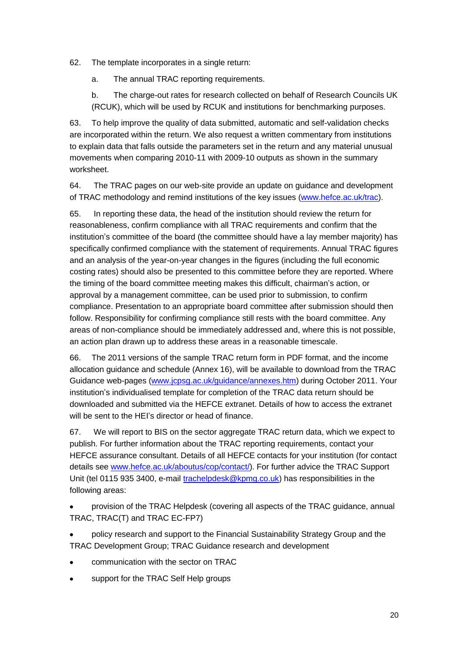62. The template incorporates in a single return:

a. The annual TRAC reporting requirements.

b. The charge-out rates for research collected on behalf of Research Councils UK (RCUK), which will be used by RCUK and institutions for benchmarking purposes.

63. To help improve the quality of data submitted, automatic and self-validation checks are incorporated within the return. We also request a written commentary from institutions to explain data that falls outside the parameters set in the return and any material unusual movements when comparing 2010-11 with 2009-10 outputs as shown in the summary worksheet.

64. The TRAC pages on our web-site provide an update on guidance and development of TRAC methodology and remind institutions of the key issues [\(www.hefce.ac.uk/trac\)](http://www.hefce.ac.uk/trac).

65. In reporting these data, the head of the institution should review the return for reasonableness, confirm compliance with all TRAC requirements and confirm that the institution's committee of the board (the committee should have a lay member majority) has specifically confirmed compliance with the statement of requirements. Annual TRAC figures and an analysis of the year-on-year changes in the figures (including the full economic costing rates) should also be presented to this committee before they are reported. Where the timing of the board committee meeting makes this difficult, chairman's action, or approval by a management committee, can be used prior to submission, to confirm compliance. Presentation to an appropriate board committee after submission should then follow. Responsibility for confirming compliance still rests with the board committee. Any areas of non-compliance should be immediately addressed and, where this is not possible, an action plan drawn up to address these areas in a reasonable timescale.

<span id="page-19-0"></span>66. The 2011 versions of the sample TRAC return form in PDF format, and the income allocation guidance and schedule (Annex 16), will be available to download from the TRAC Guidance web-pages [\(www.jcpsg.ac.uk/guidance/annexes.htm\)](http://www.jcpsg.ac.uk/guidance/annexes.htm) during October 2011. Your institution's individualised template for completion of the TRAC data return should be downloaded and submitted via the HEFCE extranet. Details of how to access the extranet will be sent to the HEI's director or head of finance.

67. We will report to BIS on the sector aggregate TRAC return data, which we expect to publish. For further information about the TRAC reporting requirements, contact your HEFCE assurance consultant. Details of all HEFCE contacts for your institution (for contact details see [www.hefce.ac.uk/aboutus/cop/contact/\)](http://www.hefce.ac.uk/aboutus/cop/contact/). For further advice the TRAC Support Unit (tel 0115 935 3400, e-mail [trachelpdesk@kpmg.co.uk\)](mailto:trachelpdesk@kpmg.co.uk) has responsibilities in the following areas:

provision of the TRAC Helpdesk (covering all aspects of the TRAC guidance, annual TRAC, TRAC(T) and TRAC EC-FP7)

policy research and support to the Financial Sustainability Strategy Group and the TRAC Development Group; TRAC Guidance research and development

- communication with the sector on TRAC
- support for the TRAC Self Help groups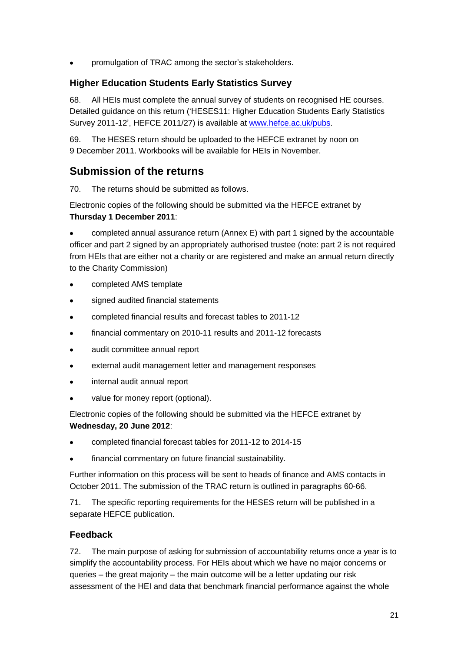$\bullet$ promulgation of TRAC among the sector's stakeholders.

## **Higher Education Students Early Statistics Survey**

68. All HEIs must complete the annual survey of students on recognised HE courses. Detailed guidance on this return ('HESES11: Higher Education Students Early Statistics Survey 2011-12', HEFCE 2011/27) is available a[t www.hefce.ac.uk/pubs.](http://www.hefce.ac.uk/pubs)

69. The HESES return should be uploaded to the HEFCE extranet by noon on 9 December 2011. Workbooks will be available for HEIs in November.

## **Submission of the returns**

70. The returns should be submitted as follows.

Electronic copies of the following should be submitted via the HEFCE extranet by **Thursday 1 December 2011**:

completed annual assurance return (Annex E) with part 1 signed by the accountable  $\bullet$ officer and part 2 signed by an appropriately authorised trustee (note: part 2 is not required from HEIs that are either not a charity or are registered and make an annual return directly to the Charity Commission)

- completed AMS template  $\bullet$
- signed audited financial statements  $\bullet$
- completed financial results and forecast tables to 2011-12  $\bullet$
- financial commentary on 2010-11 results and 2011-12 forecasts
- audit committee annual report  $\bullet$
- external audit management letter and management responses  $\bullet$
- internal audit annual report  $\bullet$
- value for money report (optional).

Electronic copies of the following should be submitted via the HEFCE extranet by **Wednesday, 20 June 2012**:

- completed financial forecast tables for 2011-12 to 2014-15
- financial commentary on future financial sustainability.

Further information on this process will be sent to heads of finance and AMS contacts in October 2011. The submission of the TRAC return is outlined in paragraphs [60-](#page-18-0)66.

71. The specific reporting requirements for the HESES return will be published in a separate HEFCE publication.

## **Feedback**

72. The main purpose of asking for submission of accountability returns once a year is to simplify the accountability process. For HEIs about which we have no major concerns or queries – the great majority – the main outcome will be a letter updating our risk assessment of the HEI and data that benchmark financial performance against the whole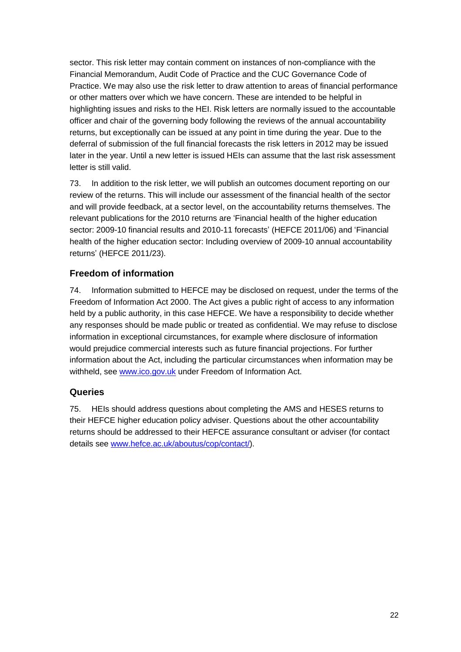sector. This risk letter may contain comment on instances of non-compliance with the Financial Memorandum, Audit Code of Practice and the CUC Governance Code of Practice. We may also use the risk letter to draw attention to areas of financial performance or other matters over which we have concern. These are intended to be helpful in highlighting issues and risks to the HEI. Risk letters are normally issued to the accountable officer and chair of the governing body following the reviews of the annual accountability returns, but exceptionally can be issued at any point in time during the year. Due to the deferral of submission of the full financial forecasts the risk letters in 2012 may be issued later in the year. Until a new letter is issued HEIs can assume that the last risk assessment letter is still valid.

73. In addition to the risk letter, we will publish an outcomes document reporting on our review of the returns. This will include our assessment of the financial health of the sector and will provide feedback, at a sector level, on the accountability returns themselves. The relevant publications for the 2010 returns are 'Financial health of the higher education sector: 2009-10 financial results and 2010-11 forecasts' (HEFCE 2011/06) and 'Financial health of the higher education sector: Including overview of 2009-10 annual accountability returns' (HEFCE 2011/23).

## **Freedom of information**

74. Information submitted to HEFCE may be disclosed on request, under the terms of the Freedom of Information Act 2000. The Act gives a public right of access to any information held by a public authority, in this case HEFCE. We have a responsibility to decide whether any responses should be made public or treated as confidential. We may refuse to disclose information in exceptional circumstances, for example where disclosure of information would prejudice commercial interests such as future financial projections. For further information about the Act, including the particular circumstances when information may be withheld, see [www.ico.gov.uk](http://www.ico.gov.uk/) under Freedom of Information Act.

## **Queries**

75. HEIs should address questions about completing the AMS and HESES returns to their HEFCE higher education policy adviser. Questions about the other accountability returns should be addressed to their HEFCE assurance consultant or adviser (for contact details see [www.hefce.ac.uk/aboutus/cop/contact/\)](http://www.hefce.ac.uk/aboutus/cop/contact/).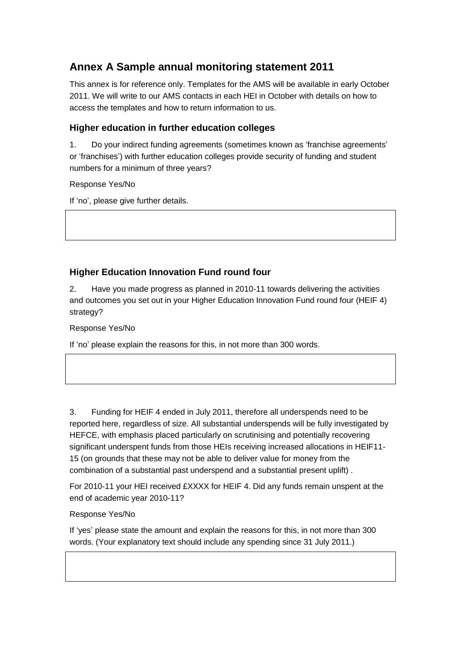# **Annex A Sample annual monitoring statement 2011**

This annex is for reference only. Templates for the AMS will be available in early October 2011. We will write to our AMS contacts in each HEI in October with details on how to access the templates and how to return information to us.

## **Higher education in further education colleges**

1. Do your indirect funding agreements (sometimes known as 'franchise agreements' or 'franchises') with further education colleges provide security of funding and student numbers for a minimum of three years?

Response Yes/No

If 'no', please give further details.

## **Higher Education Innovation Fund round four**

2. Have you made progress as planned in 2010-11 towards delivering the activities and outcomes you set out in your Higher Education Innovation Fund round four (HEIF 4) strategy?

Response Yes/No

If 'no' please explain the reasons for this, in not more than 300 words.

3. Funding for HEIF 4 ended in July 2011, therefore all underspends need to be reported here, regardless of size. All substantial underspends will be fully investigated by HEFCE, with emphasis placed particularly on scrutinising and potentially recovering significant underspent funds from those HEIs receiving increased allocations in HEIF11- 15 (on grounds that these may not be able to deliver value for money from the combination of a substantial past underspend and a substantial present uplift) .

For 2010-11 your HEI received £XXXX for HEIF 4. Did any funds remain unspent at the end of academic year 2010-11?

## Response Yes/No

If 'yes' please state the amount and explain the reasons for this, in not more than 300 words. (Your explanatory text should include any spending since 31 July 2011.)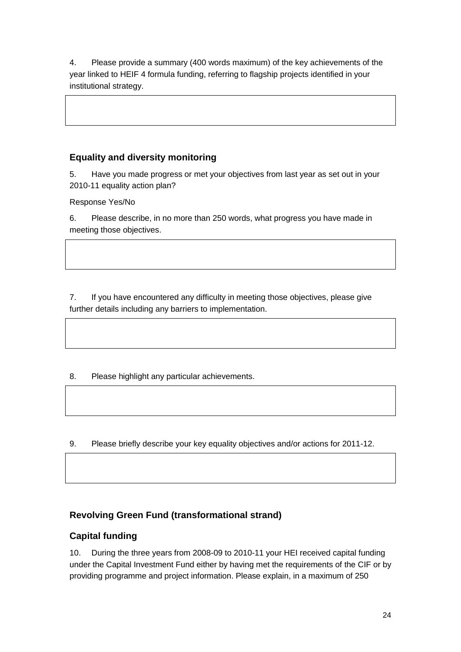4. Please provide a summary (400 words maximum) of the key achievements of the year linked to HEIF 4 formula funding, referring to flagship projects identified in your institutional strategy.

## **Equality and diversity monitoring**

5. Have you made progress or met your objectives from last year as set out in your 2010-11 equality action plan?

Response Yes/No

6. Please describe, in no more than 250 words, what progress you have made in meeting those objectives.

7. If you have encountered any difficulty in meeting those objectives, please give further details including any barriers to implementation.

8. Please highlight any particular achievements.

9. Please briefly describe your key equality objectives and/or actions for 2011-12.

## **Revolving Green Fund (transformational strand)**

## **Capital funding**

10. During the three years from 2008-09 to 2010-11 your HEI received capital funding under the Capital Investment Fund either by having met the requirements of the CIF or by providing programme and project information. Please explain, in a maximum of 250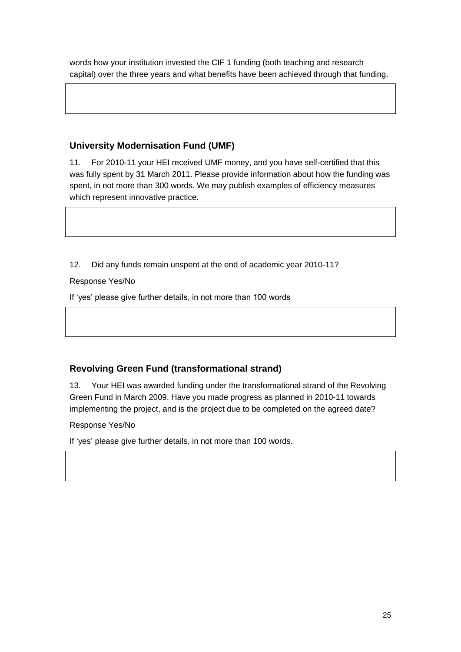words how your institution invested the CIF 1 funding (both teaching and research capital) over the three years and what benefits have been achieved through that funding.

## **University Modernisation Fund (UMF)**

11. For 2010-11 your HEI received UMF money, and you have self-certified that this was fully spent by 31 March 2011. Please provide information about how the funding was spent, in not more than 300 words. We may publish examples of efficiency measures which represent innovative practice.

12. Did any funds remain unspent at the end of academic year 2010-11?

Response Yes/No

If 'yes' please give further details, in not more than 100 words

## **Revolving Green Fund (transformational strand)**

13. Your HEI was awarded funding under the transformational strand of the Revolving Green Fund in March 2009. Have you made progress as planned in 2010-11 towards implementing the project, and is the project due to be completed on the agreed date?

Response Yes/No

If 'yes' please give further details, in not more than 100 words.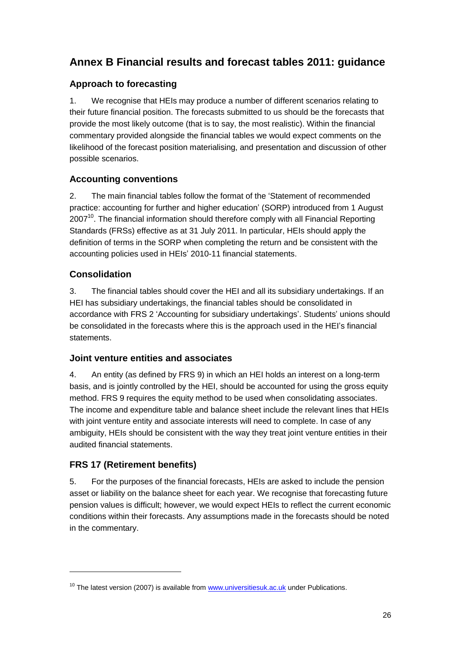# **Annex B Financial results and forecast tables 2011: guidance**

## **Approach to forecasting**

1. We recognise that HEIs may produce a number of different scenarios relating to their future financial position. The forecasts submitted to us should be the forecasts that provide the most likely outcome (that is to say, the most realistic). Within the financial commentary provided alongside the financial tables we would expect comments on the likelihood of the forecast position materialising, and presentation and discussion of other possible scenarios.

## **Accounting conventions**

2. The main financial tables follow the format of the 'Statement of recommended practice: accounting for further and higher education' (SORP) introduced from 1 August 2007<sup>10</sup>. The financial information should therefore comply with all Financial Reporting Standards (FRSs) effective as at 31 July 2011. In particular, HEIs should apply the definition of terms in the SORP when completing the return and be consistent with the accounting policies used in HEIs' 2010-11 financial statements.

## **Consolidation**

3. The financial tables should cover the HEI and all its subsidiary undertakings. If an HEI has subsidiary undertakings, the financial tables should be consolidated in accordance with FRS 2 'Accounting for subsidiary undertakings'. Students' unions should be consolidated in the forecasts where this is the approach used in the HEI's financial statements.

## **Joint venture entities and associates**

4. An entity (as defined by FRS 9) in which an HEI holds an interest on a long-term basis, and is jointly controlled by the HEI, should be accounted for using the gross equity method. FRS 9 requires the equity method to be used when consolidating associates. The income and expenditure table and balance sheet include the relevant lines that HEIs with joint venture entity and associate interests will need to complete. In case of any ambiguity, HEIs should be consistent with the way they treat joint venture entities in their audited financial statements.

## **FRS 17 (Retirement benefits)**

 $\overline{a}$ 

5. For the purposes of the financial forecasts, HEIs are asked to include the pension asset or liability on the balance sheet for each year. We recognise that forecasting future pension values is difficult; however, we would expect HEIs to reflect the current economic conditions within their forecasts. Any assumptions made in the forecasts should be noted in the commentary.

 $10$  The latest version (2007) is available from  $www.universitiesuk.ac.uk$  under Publications.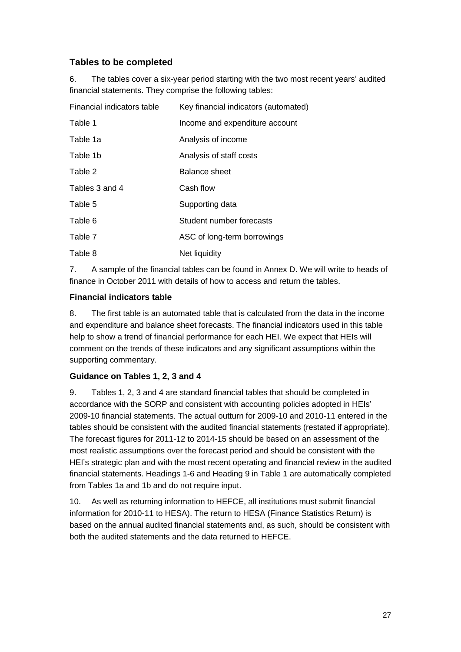## **Tables to be completed**

6. The tables cover a six-year period starting with the two most recent years' audited financial statements. They comprise the following tables:

| Financial indicators table | Key financial indicators (automated) |
|----------------------------|--------------------------------------|
| Table 1                    | Income and expenditure account       |
| Table 1a                   | Analysis of income                   |
| Table 1b                   | Analysis of staff costs              |
| Table 2                    | Balance sheet                        |
| Tables 3 and 4             | Cash flow                            |
| Table 5                    | Supporting data                      |
| Table 6                    | Student number forecasts             |
| Table 7                    | ASC of long-term borrowings          |
| Table 8                    | Net liquidity                        |

7. A sample of the financial tables can be found in Annex D. We will write to heads of finance in October 2011 with details of how to access and return the tables.

## **Financial indicators table**

8. The first table is an automated table that is calculated from the data in the income and expenditure and balance sheet forecasts. The financial indicators used in this table help to show a trend of financial performance for each HEI. We expect that HEIs will comment on the trends of these indicators and any significant assumptions within the supporting commentary.

## **Guidance on Tables 1, 2, 3 and 4**

9. Tables 1, 2, 3 and 4 are standard financial tables that should be completed in accordance with the SORP and consistent with accounting policies adopted in HEIs' 2009-10 financial statements. The actual outturn for 2009-10 and 2010-11 entered in the tables should be consistent with the audited financial statements (restated if appropriate). The forecast figures for 2011-12 to 2014-15 should be based on an assessment of the most realistic assumptions over the forecast period and should be consistent with the HEI's strategic plan and with the most recent operating and financial review in the audited financial statements. Headings 1-6 and Heading 9 in Table 1 are automatically completed from Tables 1a and 1b and do not require input.

10. As well as returning information to HEFCE, all institutions must submit financial information for 2010-11 to HESA). The return to HESA (Finance Statistics Return) is based on the annual audited financial statements and, as such, should be consistent with both the audited statements and the data returned to HEFCE.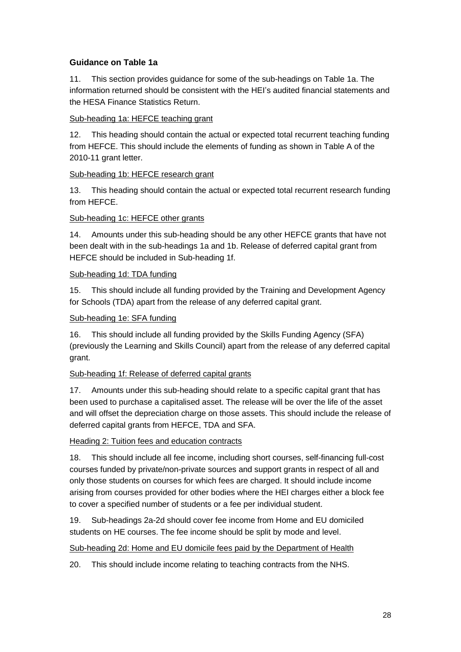## **Guidance on Table 1a**

11. This section provides guidance for some of the sub-headings on Table 1a. The information returned should be consistent with the HEI's audited financial statements and the HESA Finance Statistics Return.

## Sub-heading 1a: HEFCE teaching grant

12. This heading should contain the actual or expected total recurrent teaching funding from HEFCE. This should include the elements of funding as shown in Table A of the 2010-11 grant letter.

## Sub-heading 1b: HEFCE research grant

13. This heading should contain the actual or expected total recurrent research funding from HEFCE.

## Sub-heading 1c: HEFCE other grants

14. Amounts under this sub-heading should be any other HEFCE grants that have not been dealt with in the sub-headings 1a and 1b. Release of deferred capital grant from HEFCE should be included in Sub-heading 1f.

## Sub-heading 1d: TDA funding

15. This should include all funding provided by the Training and Development Agency for Schools (TDA) apart from the release of any deferred capital grant.

#### Sub-heading 1e: SFA funding

16. This should include all funding provided by the Skills Funding Agency (SFA) (previously the Learning and Skills Council) apart from the release of any deferred capital grant.

#### Sub-heading 1f: Release of deferred capital grants

17. Amounts under this sub-heading should relate to a specific capital grant that has been used to purchase a capitalised asset. The release will be over the life of the asset and will offset the depreciation charge on those assets. This should include the release of deferred capital grants from HEFCE, TDA and SFA.

#### Heading 2: Tuition fees and education contracts

18. This should include all fee income, including short courses, self-financing full-cost courses funded by private/non-private sources and support grants in respect of all and only those students on courses for which fees are charged. It should include income arising from courses provided for other bodies where the HEI charges either a block fee to cover a specified number of students or a fee per individual student.

19. Sub-headings 2a-2d should cover fee income from Home and EU domiciled students on HE courses. The fee income should be split by mode and level.

#### Sub-heading 2d: Home and EU domicile fees paid by the Department of Health

20. This should include income relating to teaching contracts from the NHS.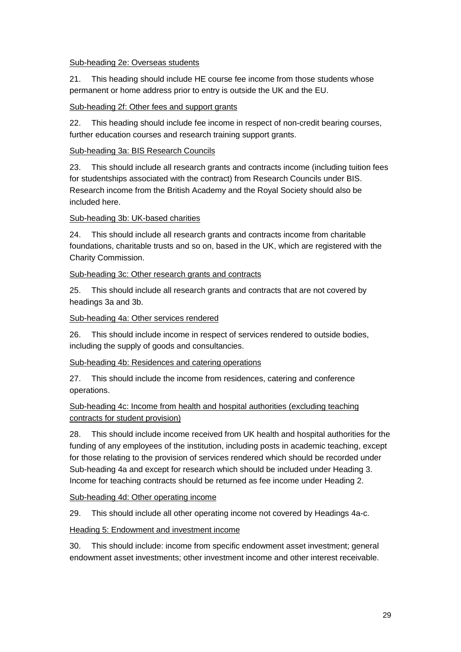#### Sub-heading 2e: Overseas students

21. This heading should include HE course fee income from those students whose permanent or home address prior to entry is outside the UK and the EU.

## Sub-heading 2f: Other fees and support grants

22. This heading should include fee income in respect of non-credit bearing courses, further education courses and research training support grants.

## Sub-heading 3a: BIS Research Councils

23. This should include all research grants and contracts income (including tuition fees for studentships associated with the contract) from Research Councils under BIS. Research income from the British Academy and the Royal Society should also be included here.

## Sub-heading 3b: UK-based charities

24. This should include all research grants and contracts income from charitable foundations, charitable trusts and so on, based in the UK, which are registered with the Charity Commission.

## Sub-heading 3c: Other research grants and contracts

25. This should include all research grants and contracts that are not covered by headings 3a and 3b.

## Sub-heading 4a: Other services rendered

26. This should include income in respect of services rendered to outside bodies, including the supply of goods and consultancies.

## Sub-heading 4b: Residences and catering operations

27. This should include the income from residences, catering and conference operations.

## Sub-heading 4c: Income from health and hospital authorities (excluding teaching contracts for student provision)

28. This should include income received from UK health and hospital authorities for the funding of any employees of the institution, including posts in academic teaching, except for those relating to the provision of services rendered which should be recorded under Sub-heading 4a and except for research which should be included under Heading 3. Income for teaching contracts should be returned as fee income under Heading 2.

#### Sub-heading 4d: Other operating income

29. This should include all other operating income not covered by Headings 4a-c.

## Heading 5: Endowment and investment income

30. This should include: income from specific endowment asset investment; general endowment asset investments; other investment income and other interest receivable.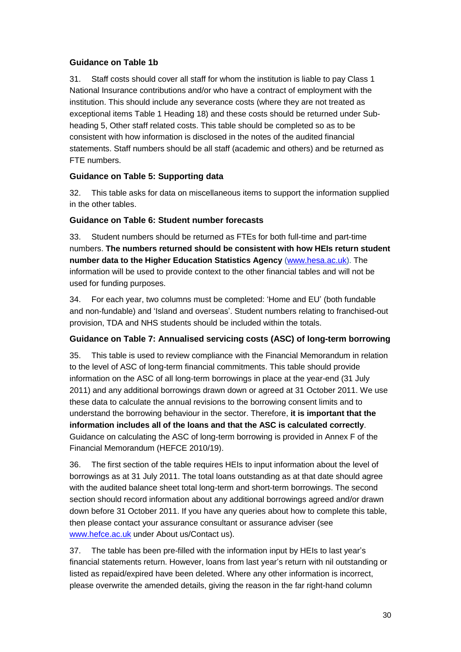## **Guidance on Table 1b**

31. Staff costs should cover all staff for whom the institution is liable to pay Class 1 National Insurance contributions and/or who have a contract of employment with the institution. This should include any severance costs (where they are not treated as exceptional items Table 1 Heading 18) and these costs should be returned under Subheading 5, Other staff related costs. This table should be completed so as to be consistent with how information is disclosed in the notes of the audited financial statements. Staff numbers should be all staff (academic and others) and be returned as FTE numbers.

## **Guidance on Table 5: Supporting data**

32. This table asks for data on miscellaneous items to support the information supplied in the other tables.

## **Guidance on Table 6: Student number forecasts**

33. Student numbers should be returned as FTEs for both full-time and part-time numbers. **The numbers returned should be consistent with how HEIs return student number data to the Higher Education Statistics Agency** [\(www.hesa.ac.uk\)](http://www.hesa.ac.uk/). The information will be used to provide context to the other financial tables and will not be used for funding purposes.

34. For each year, two columns must be completed: 'Home and EU' (both fundable and non-fundable) and 'Island and overseas'. Student numbers relating to franchised-out provision, TDA and NHS students should be included within the totals.

## **Guidance on Table 7: Annualised servicing costs (ASC) of long-term borrowing**

35. This table is used to review compliance with the Financial Memorandum in relation to the level of ASC of long-term financial commitments. This table should provide information on the ASC of all long-term borrowings in place at the year-end (31 July 2011) and any additional borrowings drawn down or agreed at 31 October 2011. We use these data to calculate the annual revisions to the borrowing consent limits and to understand the borrowing behaviour in the sector. Therefore, **it is important that the information includes all of the loans and that the ASC is calculated correctly**. Guidance on calculating the ASC of long-term borrowing is provided in Annex F of the Financial Memorandum (HEFCE 2010/19).

36. The first section of the table requires HEIs to input information about the level of borrowings as at 31 July 2011. The total loans outstanding as at that date should agree with the audited balance sheet total long-term and short-term borrowings. The second section should record information about any additional borrowings agreed and/or drawn down before 31 October 2011. If you have any queries about how to complete this table, then please contact your assurance consultant or assurance adviser (see [www.hefce.ac.uk](http://www.hefce.ac.uk/) under About us/Contact us).

37. The table has been pre-filled with the information input by HEIs to last year's financial statements return. However, loans from last year's return with nil outstanding or listed as repaid/expired have been deleted. Where any other information is incorrect, please overwrite the amended details, giving the reason in the far right-hand column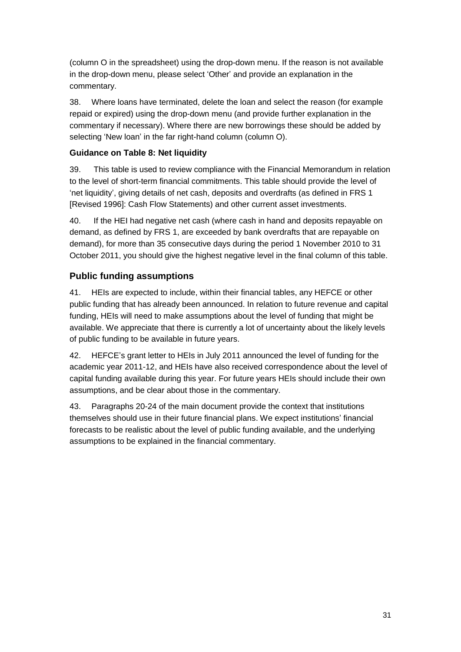(column O in the spreadsheet) using the drop-down menu. If the reason is not available in the drop-down menu, please select 'Other' and provide an explanation in the commentary.

38. Where loans have terminated, delete the loan and select the reason (for example repaid or expired) using the drop-down menu (and provide further explanation in the commentary if necessary). Where there are new borrowings these should be added by selecting 'New loan' in the far right-hand column (column O).

## **Guidance on Table 8: Net liquidity**

39. This table is used to review compliance with the Financial Memorandum in relation to the level of short-term financial commitments. This table should provide the level of 'net liquidity', giving details of net cash, deposits and overdrafts (as defined in FRS 1 [Revised 1996]: Cash Flow Statements) and other current asset investments.

40. If the HEI had negative net cash (where cash in hand and deposits repayable on demand, as defined by FRS 1, are exceeded by bank overdrafts that are repayable on demand), for more than 35 consecutive days during the period 1 November 2010 to 31 October 2011, you should give the highest negative level in the final column of this table.

## **Public funding assumptions**

41. HEIs are expected to include, within their financial tables, any HEFCE or other public funding that has already been announced. In relation to future revenue and capital funding, HEIs will need to make assumptions about the level of funding that might be available. We appreciate that there is currently a lot of uncertainty about the likely levels of public funding to be available in future years.

42. HEFCE's grant letter to HEIs in July 2011 announced the level of funding for the academic year 2011-12, and HEIs have also received correspondence about the level of capital funding available during this year. For future years HEIs should include their own assumptions, and be clear about those in the commentary.

43. Paragraphs [20-](#page-8-0)24 of the main document provide the context that institutions themselves should use in their future financial plans. We expect institutions' financial forecasts to be realistic about the level of public funding available, and the underlying assumptions to be explained in the financial commentary.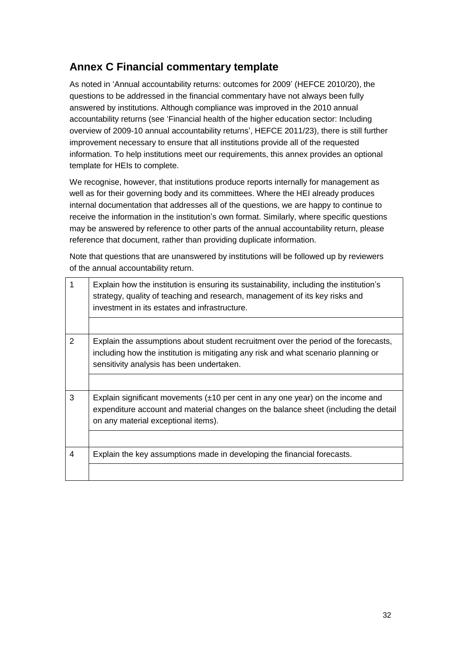# **Annex C Financial commentary template**

As noted in 'Annual accountability returns: outcomes for 2009' (HEFCE 2010/20), the questions to be addressed in the financial commentary have not always been fully answered by institutions. Although compliance was improved in the 2010 annual accountability returns (see 'Financial health of the higher education sector: Including overview of 2009-10 annual accountability returns', HEFCE 2011/23), there is still further improvement necessary to ensure that all institutions provide all of the requested information. To help institutions meet our requirements, this annex provides an optional template for HEIs to complete.

We recognise, however, that institutions produce reports internally for management as well as for their governing body and its committees. Where the HEI already produces internal documentation that addresses all of the questions, we are happy to continue to receive the information in the institution's own format. Similarly, where specific questions may be answered by reference to other parts of the annual accountability return, please reference that document, rather than providing duplicate information.

Note that questions that are unanswered by institutions will be followed up by reviewers of the annual accountability return.

| 1              | Explain how the institution is ensuring its sustainability, including the institution's<br>strategy, quality of teaching and research, management of its key risks and<br>investment in its estates and infrastructure. |
|----------------|-------------------------------------------------------------------------------------------------------------------------------------------------------------------------------------------------------------------------|
|                |                                                                                                                                                                                                                         |
| 2              | Explain the assumptions about student recruitment over the period of the forecasts,<br>including how the institution is mitigating any risk and what scenario planning or<br>sensitivity analysis has been undertaken.  |
|                |                                                                                                                                                                                                                         |
| 3              | Explain significant movements $(\pm 10$ per cent in any one year) on the income and<br>expenditure account and material changes on the balance sheet (including the detail<br>on any material exceptional items).       |
|                |                                                                                                                                                                                                                         |
| $\overline{4}$ | Explain the key assumptions made in developing the financial forecasts.                                                                                                                                                 |
|                |                                                                                                                                                                                                                         |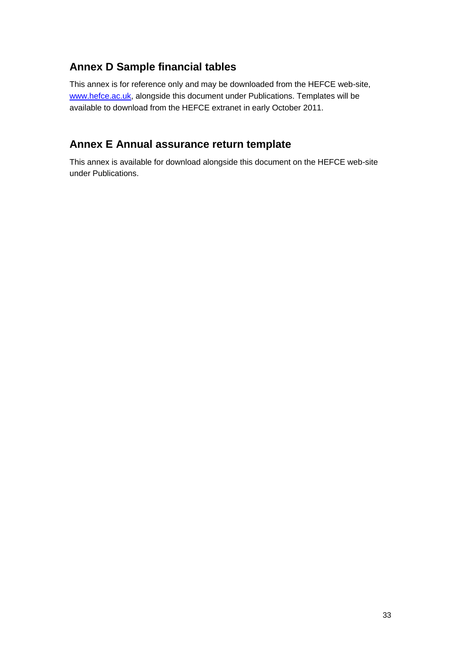# **Annex D Sample financial tables**

This annex is for reference only and may be downloaded from the HEFCE web-site, [www.hefce.ac.uk,](http://www.hefce.ac.uk/) alongside this document under Publications. Templates will be available to download from the HEFCE extranet in early October 2011.

# **Annex E Annual assurance return template**

This annex is available for download alongside this document on the HEFCE web-site under Publications.